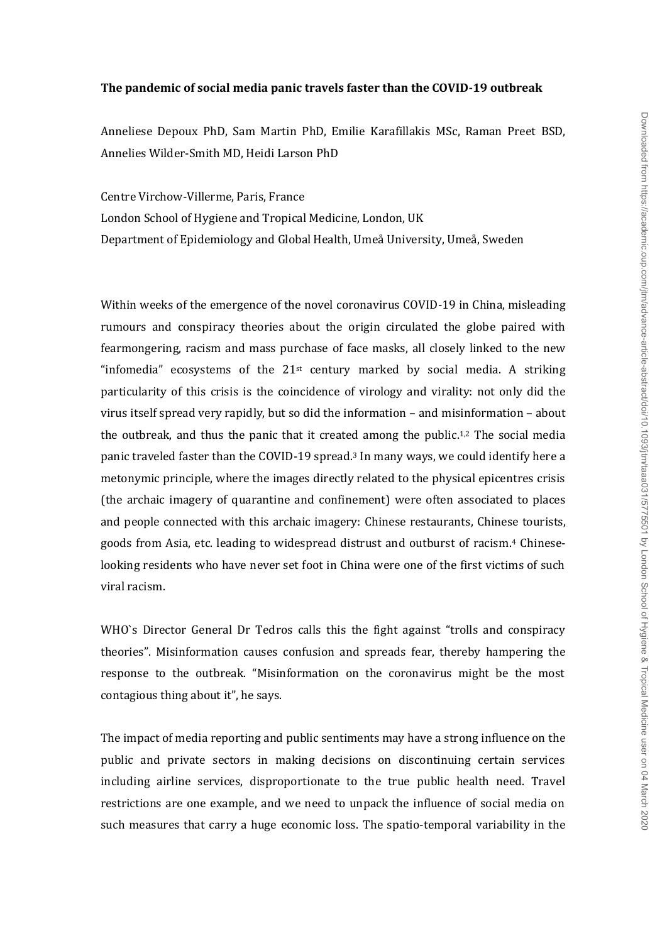## **The pandemic of social media panic travels faster than the COVID-19 outbreak**

Anneliese Depoux PhD, Sam Martin PhD, Emilie Karafillakis MSc, Raman Preet BSD, Annelies Wilder-Smith MD, Heidi Larson PhD

Centre Virchow-Villerme, Paris, France London School of Hygiene and Tropical Medicine, London, UK Department of Epidemiology and Global Health, Umeå University, Umeå, Sweden

Within weeks of the emergence of the novel coronavirus COVID-19 in China, misleading rumours and conspiracy theories about the origin circulated the globe paired with fearmongering, racism and mass purchase of face masks, all closely linked to the new "infomedia" ecosystems of the  $21<sup>st</sup>$  century marked by social media. A striking particularity of this crisis is the coincidence of virology and virality: not only did the virus itself spread very rapidly, but so did the information – and misinformation – about the outbreak, and thus the panic that it created among the public.<sup>1,2</sup> The social media panic traveled faster than the COVID-19 spread.<sup>3</sup> In many ways, we could identify here a metonymic principle, where the images directly related to the physical epicentres crisis (the archaic imagery of quarantine and confinement) were often associated to places and people connected with this archaic imagery: Chinese restaurants, Chinese tourists, goods from Asia, etc. leading to widespread distrust and outburst of racism. <sup>4</sup> Chineselooking residents who have never set foot in China were one of the first victims of such viral racism.

WHO`s Director General Dr Tedros calls this the fight against "trolls and conspiracy theories". Misinformation causes confusion and spreads fear, thereby hampering the response to the outbreak. "Misinformation on the coronavirus might be the most contagious thing about it", he says.

The impact of media reporting and public sentiments may have a strong influence on the public and private sectors in making decisions on discontinuing certain services including airline services, disproportionate to the true public health need. Travel restrictions are one example, and we need to unpack the influence of social media on such measures that carry a huge economic loss. The spatio-temporal variability in the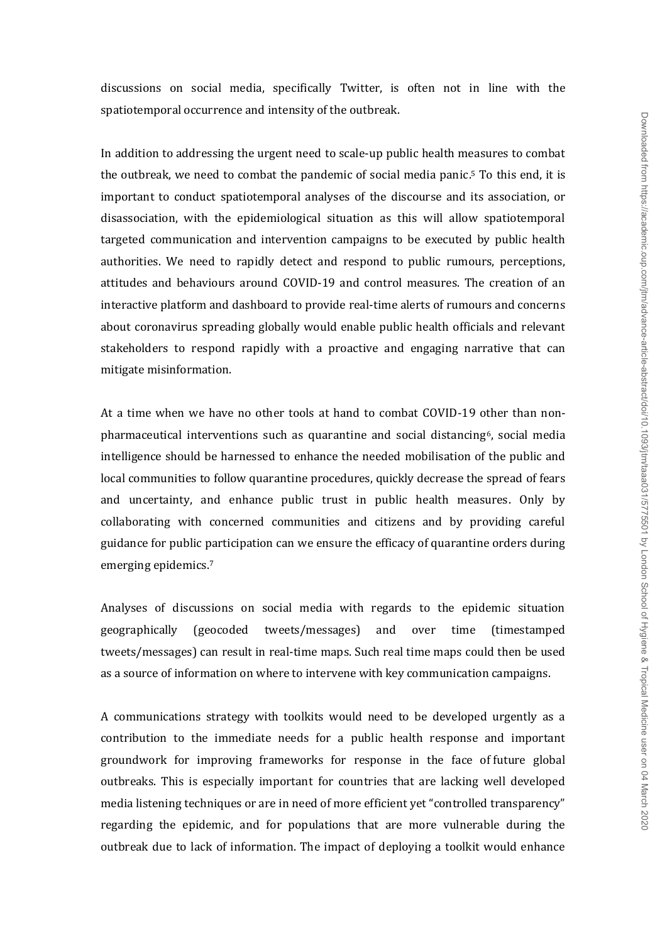discussions on social media, specifically Twitter, is often not in line with the spatiotemporal occurrence and intensity of the outbreak.

In addition to addressing the urgent need to scale-up public health measures to combat the outbreak, we need to combat the pandemic of social media panic. <sup>5</sup> To this end, it is important to conduct spatiotemporal analyses of the discourse and its association, or disassociation, with the epidemiological situation as this will allow spatiotemporal targeted communication and intervention campaigns to be executed by public health authorities. We need to rapidly detect and respond to public rumours, perceptions, attitudes and behaviours around COVID-19 and control measures. The creation of an interactive platform and dashboard to provide real-time alerts of rumours and concerns about coronavirus spreading globally would enable public health officials and relevant stakeholders to respond rapidly with a proactive and engaging narrative that can mitigate misinformation.

At a time when we have no other tools at hand to combat COVID-19 other than nonpharmaceutical interventions such as quarantine and social distancing6, social media intelligence should be harnessed to enhance the needed mobilisation of the public and local communities to follow quarantine procedures, quickly decrease the spread of fears and uncertainty, and enhance public trust in public health measures. Only by collaborating with concerned communities and citizens and by providing careful guidance for public participation can we ensure the efficacy of quarantine orders during emerging epidemics.<sup>7</sup>

Analyses of discussions on social media with regards to the epidemic situation geographically (geocoded tweets/messages) and over time (timestamped tweets/messages) can result in real-time maps. Such real time maps could then be used as a source of information on where to intervene with key communication campaigns.

A communications strategy with toolkits would need to be developed urgently as a contribution to the immediate needs for a public health response and important groundwork for improving frameworks for response in the face of future global outbreaks. This is especially important for countries that are lacking well developed media listening techniques or are in need of more efficient yet "controlled transparency" regarding the epidemic, and for populations that are more vulnerable during the outbreak due to lack of information. The impact of deploying a toolkit would enhance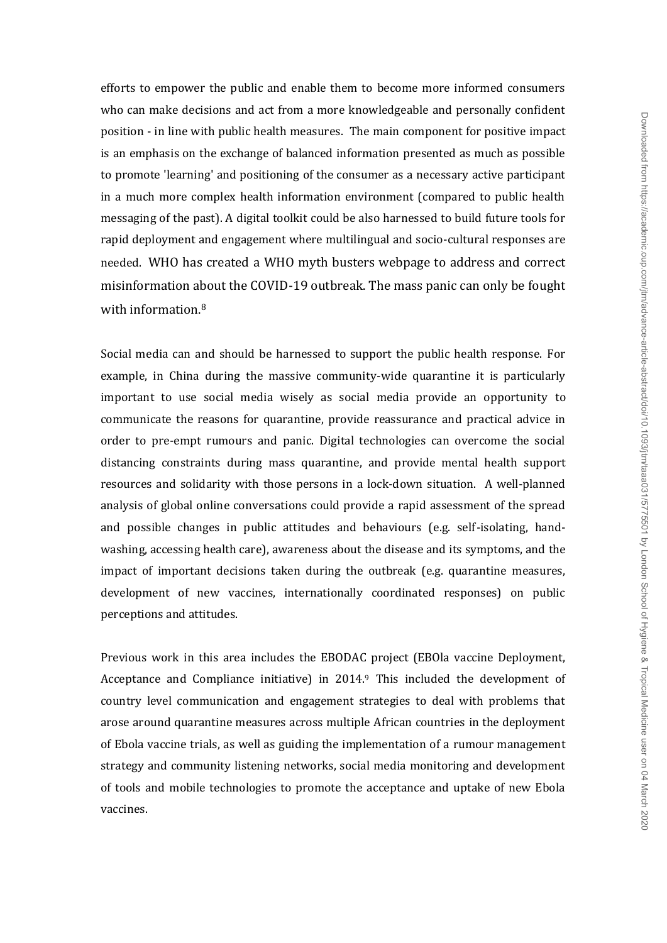efforts to empower the public and enable them to become more informed consumers who can make decisions and act from a more knowledgeable and personally confident position - in line with public health measures. The main component for positive impact is an emphasis on the exchange of balanced information presented as much as possible to promote 'learning' and positioning of the consumer as a necessary active participant in a much more complex health information environment (compared to public health messaging of the past). A digital toolkit could be also harnessed to build future tools for rapid deployment and engagement where multilingual and socio-cultural responses are needed. WHO has created a WHO myth busters webpage to address and correct misinformation about the COVID-19 outbreak. The mass panic can only be fought with information.<sup>8</sup>

Social media can and should be harnessed to support the public health response. For example, in China during the massive community-wide quarantine it is particularly important to use social media wisely as social media provide an opportunity to communicate the reasons for quarantine, provide reassurance and practical advice in order to pre-empt rumours and panic. Digital technologies can overcome the social distancing constraints during mass quarantine, and provide mental health support resources and solidarity with those persons in a lock-down situation. A well-planned analysis of global online conversations could provide a rapid assessment of the spread and possible changes in public attitudes and behaviours (e.g. self-isolating, handwashing, accessing health care), awareness about the disease and its symptoms, and the impact of important decisions taken during the outbreak (e.g. quarantine measures, development of new vaccines, internationally coordinated responses) on public perceptions and attitudes.

Previous work in this area includes the EBODAC project (EBOla vaccine Deployment, Acceptance and Compliance initiative) in 2014.<sup>9</sup> This included the development of country level communication and engagement strategies to deal with problems that arose around quarantine measures across multiple African countries in the deployment of Ebola vaccine trials, as well as guiding the implementation of a rumour management strategy and community listening networks, social media monitoring and development of tools and mobile technologies to promote the acceptance and uptake of new Ebola vaccines.